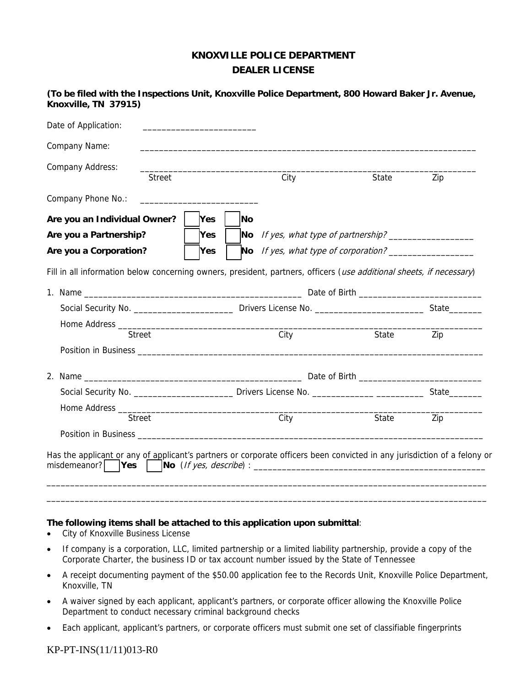## **KNOXVILLE POLICE DEPARTMENT DEALER LICENSE**

| Date of Application:                                                                                                 |               |            |    |                                      |       |     |
|----------------------------------------------------------------------------------------------------------------------|---------------|------------|----|--------------------------------------|-------|-----|
| Company Name:                                                                                                        |               |            |    |                                      |       |     |
| Company Address:                                                                                                     | <b>Street</b> |            |    | City                                 | State | Zip |
| Company Phone No.:                                                                                                   |               |            |    |                                      |       |     |
| Are you an Individual Owner?                                                                                         |               | <b>Yes</b> | No |                                      |       |     |
| Are you a Partnership?<br><b>Yes</b><br>Are you a Corporation?<br><b>Yes</b>                                         |               |            |    |                                      |       |     |
|                                                                                                                      |               |            |    | No If yes, what type of corporation? |       |     |
|                                                                                                                      |               |            |    |                                      |       |     |
|                                                                                                                      |               |            |    |                                      |       |     |
|                                                                                                                      |               |            |    |                                      |       |     |
|                                                                                                                      |               |            |    |                                      |       |     |
| Fill in all information below concerning owners, president, partners, officers (use additional sheets, if necessary) | <b>Street</b> |            |    | City                                 | State | Zip |
|                                                                                                                      |               |            |    |                                      |       |     |
|                                                                                                                      |               |            |    |                                      |       |     |
|                                                                                                                      |               |            |    |                                      |       |     |
|                                                                                                                      |               |            |    |                                      |       |     |
|                                                                                                                      | <b>Street</b> |            |    | City                                 | State | Zip |

**(To be filed with the Inspections Unit, Knoxville Police Department, 800 Howard Baker Jr. Avenue, Knoxville, TN 37915)** 

## **The following items shall be attached to this application upon submittal**:

- City of Knoxville Business License
- If company is a corporation, LLC, limited partnership or a limited liability partnership, provide a copy of the Corporate Charter, the business ID or tax account number issued by the State of Tennessee
- A receipt documenting payment of the \$50.00 application fee to the Records Unit, Knoxville Police Department, Knoxville, TN

\_\_\_\_\_\_\_\_\_\_\_\_\_\_\_\_\_\_\_\_\_\_\_\_\_\_\_\_\_\_\_\_\_\_\_\_\_\_\_\_\_\_\_\_\_\_\_\_\_\_\_\_\_\_\_\_\_\_\_\_\_\_\_\_\_\_\_\_\_\_\_\_\_\_\_\_\_\_\_\_\_\_\_\_\_\_\_\_\_\_\_\_\_

- A waiver signed by each applicant, applicant's partners, or corporate officer allowing the Knoxville Police Department to conduct necessary criminal background checks
- Each applicant, applicant's partners, or corporate officers must submit one set of classifiable fingerprints

## KP-PT-INS(11/11)013-R0